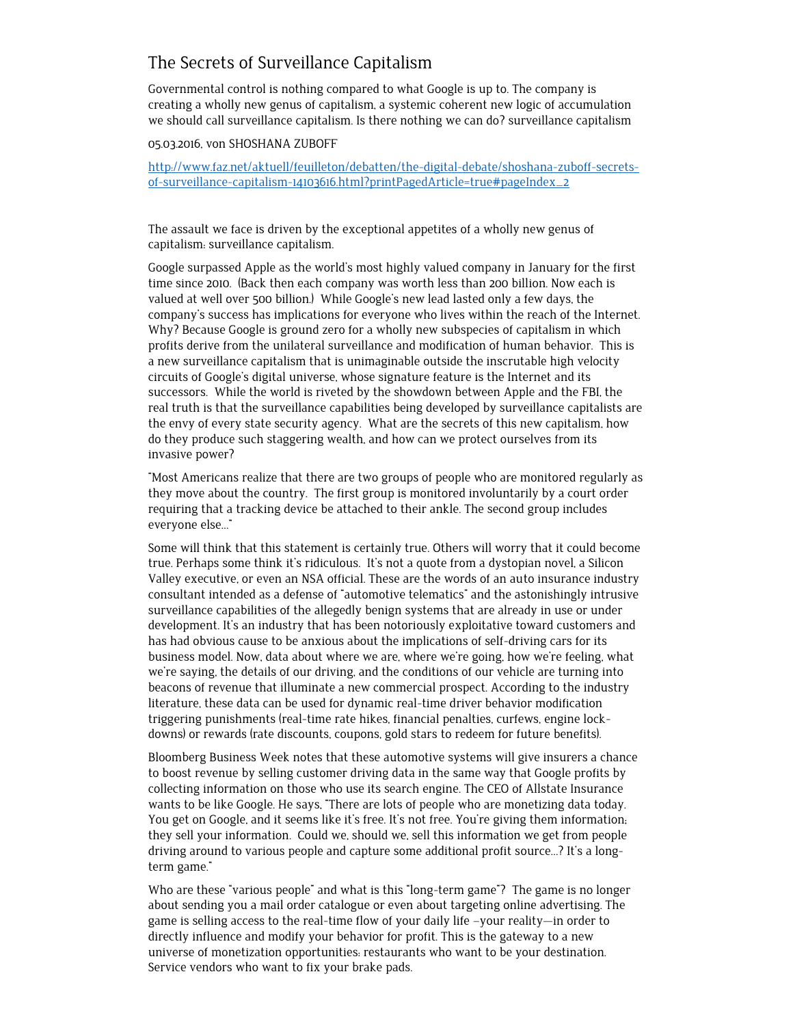# The Secrets of Surveillance Capitalism

Governmental control is nothing compared to what Google is up to. The company is creating a wholly new genus of capitalism, a systemic coherent new logic of accumulation we should call surveillance capitalism. Is there nothing we can do? surveillance capitalism

05.03.2016, von SHOSHANA ZUBOFF

[http://www.faz.net/aktuell/feuilleton/debatten/the-digital-debate/shoshana-zuboff-secrets](http://www.faz.net/aktuell/feuilleton/debatten/the-digital-debate/shoshana-zuboff-secrets-of-surveillance-capitalism-14103616.html?printPagedArticle=true#pageIndex_2)[of-surveillance-capitalism-14103616.html?printPagedArticle=true#pageIndex\\_2](http://www.faz.net/aktuell/feuilleton/debatten/the-digital-debate/shoshana-zuboff-secrets-of-surveillance-capitalism-14103616.html?printPagedArticle=true#pageIndex_2)

The assault we face is driven by the exceptional appetites of a wholly new genus of capitalism: surveillance capitalism.

Google surpassed Apple as the world's most highly valued company in January for the first time since 2010. (Back then each company was worth less than 200 billion. Now each is valued at well over 500 billion.) While Google's new lead lasted only a few days, the company's success has implications for everyone who lives within the reach of the Internet. Why? Because Google is ground zero for a wholly new subspecies of capitalism in which profits derive from the unilateral surveillance and modification of human behavior. This is a new surveillance capitalism that is unimaginable outside the inscrutable high velocity circuits of Google's digital universe, whose signature feature is the Internet and its successors. While the world is riveted by the showdown between Apple and the FBI, the real truth is that the surveillance capabilities being developed by surveillance capitalists are the envy of every state security agency. What are the secrets of this new capitalism, how do they produce such staggering wealth, and how can we protect ourselves from its invasive power?

"Most Americans realize that there are two groups of people who are monitored regularly as they move about the country. The first group is monitored involuntarily by a court order requiring that a tracking device be attached to their ankle. The second group includes everyone else…"

Some will think that this statement is certainly true. Others will worry that it could become true. Perhaps some think it's ridiculous. It's not a quote from a dystopian novel, a Silicon Valley executive, or even an NSA official. These are the words of an auto insurance industry consultant intended as a defense of "automotive telematics" and the astonishingly intrusive surveillance capabilities of the allegedly benign systems that are already in use or under development. It's an industry that has been notoriously exploitative toward customers and has had obvious cause to be anxious about the implications of self-driving cars for its business model. Now, data about where we are, where we're going, how we're feeling, what we're saying, the details of our driving, and the conditions of our vehicle are turning into beacons of revenue that illuminate a new commercial prospect. According to the industry literature, these data can be used for dynamic real-time driver behavior modification triggering punishments (real-time rate hikes, financial penalties, curfews, engine lockdowns) or rewards (rate discounts, coupons, gold stars to redeem for future benefits).

Bloomberg Business Week notes that these automotive systems will give insurers a chance to boost revenue by selling customer driving data in the same way that Google profits by collecting information on those who use its search engine. The CEO of Allstate Insurance wants to be like Google. He says, "There are lots of people who are monetizing data today. You get on Google, and it seems like it's free. It's not free. You're giving them information; they sell your information. Could we, should we, sell this information we get from people driving around to various people and capture some additional profit source…? It's a longterm game."

Who are these "various people" and what is this "long-term game"? The game is no longer about sending you a mail order catalogue or even about targeting online advertising. The game is selling access to the real-time flow of your daily life –your reality—in order to directly influence and modify your behavior for profit. This is the gateway to a new universe of monetization opportunities: restaurants who want to be your destination. Service vendors who want to fix your brake pads.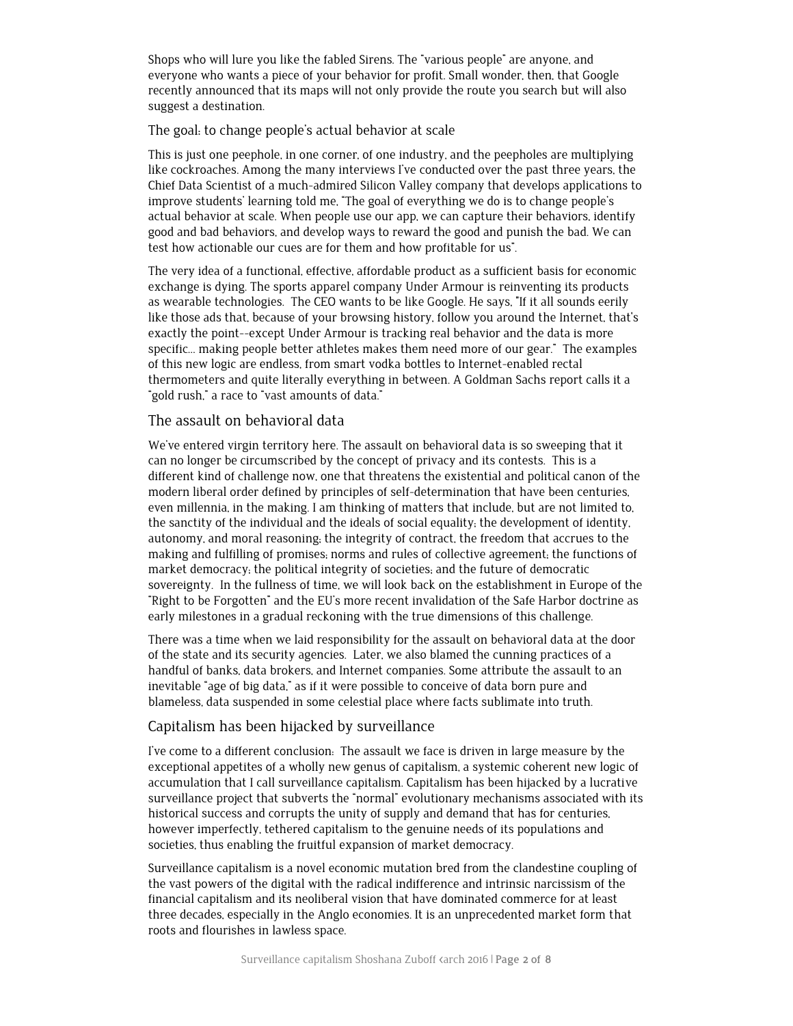Shops who will lure you like the fabled Sirens. The "various people" are anyone, and everyone who wants a piece of your behavior for profit. Small wonder, then, that Google recently announced that its maps will not only provide the route you search but will also suggest a destination.

The goal: to change people's actual behavior at scale

This is just one peephole, in one corner, of one industry, and the peepholes are multiplying like cockroaches. Among the many interviews I've conducted over the past three years, the Chief Data Scientist of a much-admired Silicon Valley company that develops applications to improve students' learning told me, "The goal of everything we do is to change people's actual behavior at scale. When people use our app, we can capture their behaviors, identify good and bad behaviors, and develop ways to reward the good and punish the bad. We can test how actionable our cues are for them and how profitable for us".

The very idea of a functional, effective, affordable product as a sufficient basis for economic exchange is dying. The sports apparel company Under Armour is reinventing its products as wearable technologies. The CEO wants to be like Google. He says, "If it all sounds eerily like those ads that, because of your browsing history, follow you around the Internet, that's exactly the point--except Under Armour is tracking real behavior and the data is more specific… making people better athletes makes them need more of our gear." The examples of this new logic are endless, from smart vodka bottles to Internet-enabled rectal thermometers and quite literally everything in between. A Goldman Sachs report calls it a "gold rush," a race to "vast amounts of data."

## The assault on behavioral data

We've entered virgin territory here. The assault on behavioral data is so sweeping that it can no longer be circumscribed by the concept of privacy and its contests. This is a different kind of challenge now, one that threatens the existential and political canon of the modern liberal order defined by principles of self-determination that have been centuries, even millennia, in the making. I am thinking of matters that include, but are not limited to, the sanctity of the individual and the ideals of social equality; the development of identity, autonomy, and moral reasoning; the integrity of contract, the freedom that accrues to the making and fulfilling of promises; norms and rules of collective agreement; the functions of market democracy; the political integrity of societies; and the future of democratic sovereignty. In the fullness of time, we will look back on the establishment in Europe of the "Right to be Forgotten" and the EU's more recent invalidation of the Safe Harbor doctrine as early milestones in a gradual reckoning with the true dimensions of this challenge.

There was a time when we laid responsibility for the assault on behavioral data at the door of the state and its security agencies. Later, we also blamed the cunning practices of a handful of banks, data brokers, and Internet companies. Some attribute the assault to an inevitable "age of big data," as if it were possible to conceive of data born pure and blameless, data suspended in some celestial place where facts sublimate into truth.

# Capitalism has been hijacked by surveillance

I've come to a different conclusion: The assault we face is driven in large measure by the exceptional appetites of a wholly new genus of capitalism, a systemic coherent new logic of accumulation that I call surveillance capitalism. Capitalism has been hijacked by a lucrative surveillance project that subverts the "normal" evolutionary mechanisms associated with its historical success and corrupts the unity of supply and demand that has for centuries, however imperfectly, tethered capitalism to the genuine needs of its populations and societies, thus enabling the fruitful expansion of market democracy.

Surveillance capitalism is a novel economic mutation bred from the clandestine coupling of the vast powers of the digital with the radical indifference and intrinsic narcissism of the financial capitalism and its neoliberal vision that have dominated commerce for at least three decades, especially in the Anglo economies. It is an unprecedented market form that roots and flourishes in lawless space.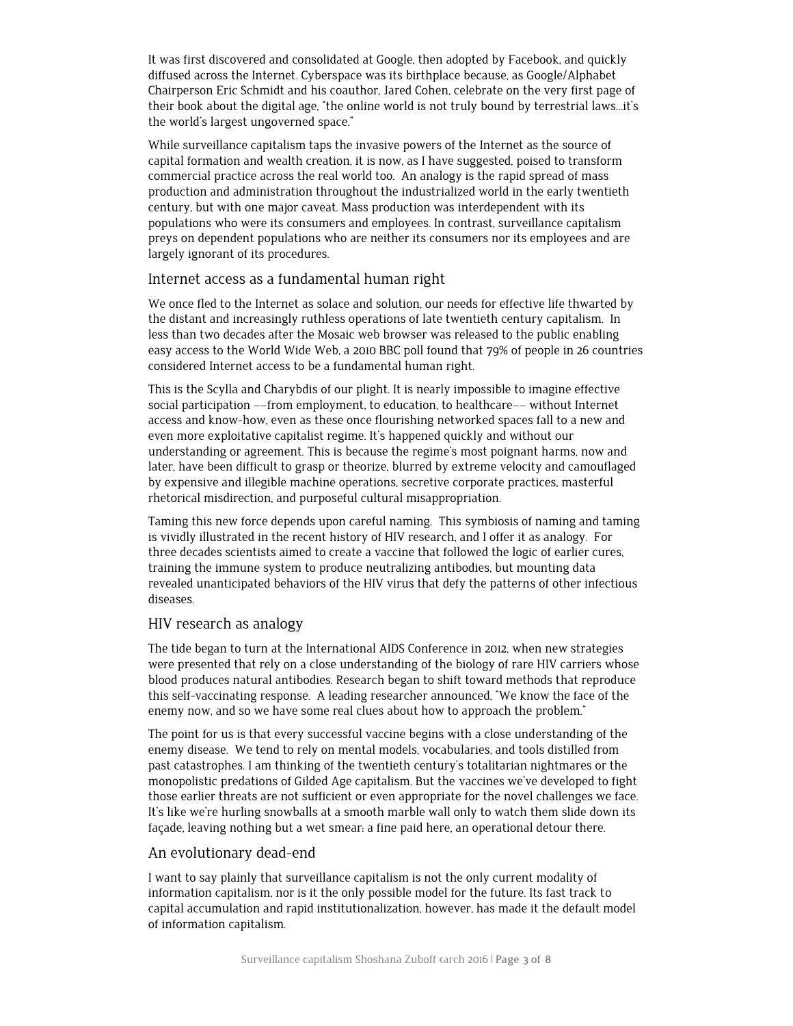It was first discovered and consolidated at Google, then adopted by Facebook, and quickly diffused across the Internet. Cyberspace was its birthplace because, as Google/Alphabet Chairperson Eric Schmidt and his coauthor, Jared Cohen, celebrate on the very first page of their book about the digital age, "the online world is not truly bound by terrestrial laws…it's the world's largest ungoverned space."

While surveillance capitalism taps the invasive powers of the Internet as the source of capital formation and wealth creation, it is now, as I have suggested, poised to transform commercial practice across the real world too. An analogy is the rapid spread of mass production and administration throughout the industrialized world in the early twentieth century, but with one major caveat. Mass production was interdependent with its populations who were its consumers and employees. In contrast, surveillance capitalism preys on dependent populations who are neither its consumers nor its employees and are largely ignorant of its procedures.

# Internet access as a fundamental human right

We once fled to the Internet as solace and solution, our needs for effective life thwarted by the distant and increasingly ruthless operations of late twentieth century capitalism. In less than two decades after the Mosaic web browser was released to the public enabling easy access to the World Wide Web, a 2010 BBC poll found that 79% of people in 26 countries considered Internet access to be a fundamental human right.

This is the Scylla and Charybdis of our plight. It is nearly impossible to imagine effective social participation ––from employment, to education, to healthcare–– without Internet access and know-how, even as these once flourishing networked spaces fall to a new and even more exploitative capitalist regime. It's happened quickly and without our understanding or agreement. This is because the regime's most poignant harms, now and later, have been difficult to grasp or theorize, blurred by extreme velocity and camouflaged by expensive and illegible machine operations, secretive corporate practices, masterful rhetorical misdirection, and purposeful cultural misappropriation.

Taming this new force depends upon careful naming. This symbiosis of naming and taming is vividly illustrated in the recent history of HIV research, and I offer it as analogy. For three decades scientists aimed to create a vaccine that followed the logic of earlier cures, training the immune system to produce neutralizing antibodies, but mounting data revealed unanticipated behaviors of the HIV virus that defy the patterns of other infectious diseases.

## HIV research as analogy

The tide began to turn at the International AIDS Conference in 2012, when new strategies were presented that rely on a close understanding of the biology of rare HIV carriers whose blood produces natural antibodies. Research began to shift toward methods that reproduce this self-vaccinating response. A leading researcher announced, "We know the face of the enemy now, and so we have some real clues about how to approach the problem."

The point for us is that every successful vaccine begins with a close understanding of the enemy disease. We tend to rely on mental models, vocabularies, and tools distilled from past catastrophes. I am thinking of the twentieth century's totalitarian nightmares or the monopolistic predations of Gilded Age capitalism. But the vaccines we've developed to fight those earlier threats are not sufficient or even appropriate for the novel challenges we face. It's like we're hurling snowballs at a smooth marble wall only to watch them slide down its façade, leaving nothing but a wet smear: a fine paid here, an operational detour there.

#### An evolutionary dead-end

I want to say plainly that surveillance capitalism is not the only current modality of information capitalism, nor is it the only possible model for the future. Its fast track to capital accumulation and rapid institutionalization, however, has made it the default model of information capitalism.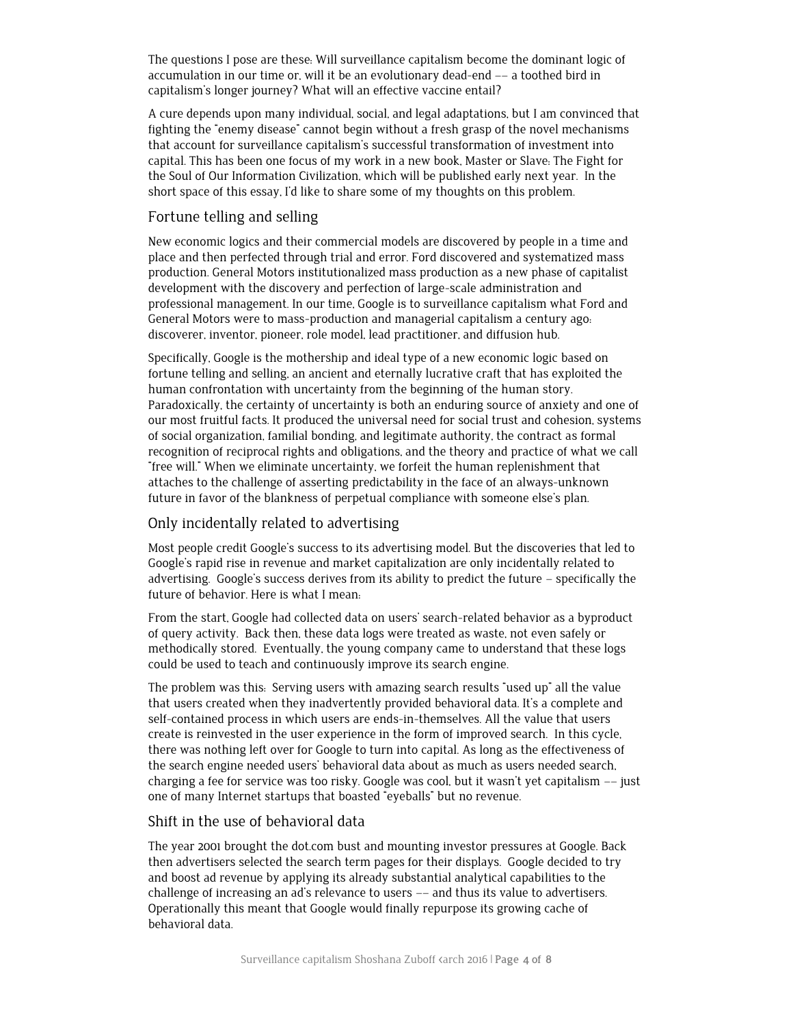The questions I pose are these: Will surveillance capitalism become the dominant logic of accumulation in our time or, will it be an evolutionary dead-end –– a toothed bird in capitalism's longer journey? What will an effective vaccine entail?

A cure depends upon many individual, social, and legal adaptations, but I am convinced that fighting the "enemy disease" cannot begin without a fresh grasp of the novel mechanisms that account for surveillance capitalism's successful transformation of investment into capital. This has been one focus of my work in a new book, Master or Slave: The Fight for the Soul of Our Information Civilization, which will be published early next year. In the short space of this essay, I'd like to share some of my thoughts on this problem.

# Fortune telling and selling

New economic logics and their commercial models are discovered by people in a time and place and then perfected through trial and error. Ford discovered and systematized mass production. General Motors institutionalized mass production as a new phase of capitalist development with the discovery and perfection of large-scale administration and professional management. In our time, Google is to surveillance capitalism what Ford and General Motors were to mass-production and managerial capitalism a century ago: discoverer, inventor, pioneer, role model, lead practitioner, and diffusion hub.

Specifically, Google is the mothership and ideal type of a new economic logic based on fortune telling and selling, an ancient and eternally lucrative craft that has exploited the human confrontation with uncertainty from the beginning of the human story. Paradoxically, the certainty of uncertainty is both an enduring source of anxiety and one of our most fruitful facts. It produced the universal need for social trust and cohesion, systems of social organization, familial bonding, and legitimate authority, the contract as formal recognition of reciprocal rights and obligations, and the theory and practice of what we call "free will." When we eliminate uncertainty, we forfeit the human replenishment that attaches to the challenge of asserting predictability in the face of an always-unknown future in favor of the blankness of perpetual compliance with someone else's plan.

## Only incidentally related to advertising

Most people credit Google's success to its advertising model. But the discoveries that led to Google's rapid rise in revenue and market capitalization are only incidentally related to advertising. Google's success derives from its ability to predict the future – specifically the future of behavior. Here is what I mean:

From the start, Google had collected data on users' search-related behavior as a byproduct of query activity. Back then, these data logs were treated as waste, not even safely or methodically stored. Eventually, the young company came to understand that these logs could be used to teach and continuously improve its search engine.

The problem was this: Serving users with amazing search results "used up" all the value that users created when they inadvertently provided behavioral data. It's a complete and self-contained process in which users are ends-in-themselves. All the value that users create is reinvested in the user experience in the form of improved search. In this cycle, there was nothing left over for Google to turn into capital. As long as the effectiveness of the search engine needed users' behavioral data about as much as users needed search, charging a fee for service was too risky. Google was cool, but it wasn't yet capitalism –– just one of many Internet startups that boasted "eyeballs" but no revenue.

#### Shift in the use of behavioral data

The year 2001 brought the dot.com bust and mounting investor pressures at Google. Back then advertisers selected the search term pages for their displays. Google decided to try and boost ad revenue by applying its already substantial analytical capabilities to the challenge of increasing an ad's relevance to users –– and thus its value to advertisers. Operationally this meant that Google would finally repurpose its growing cache of behavioral data.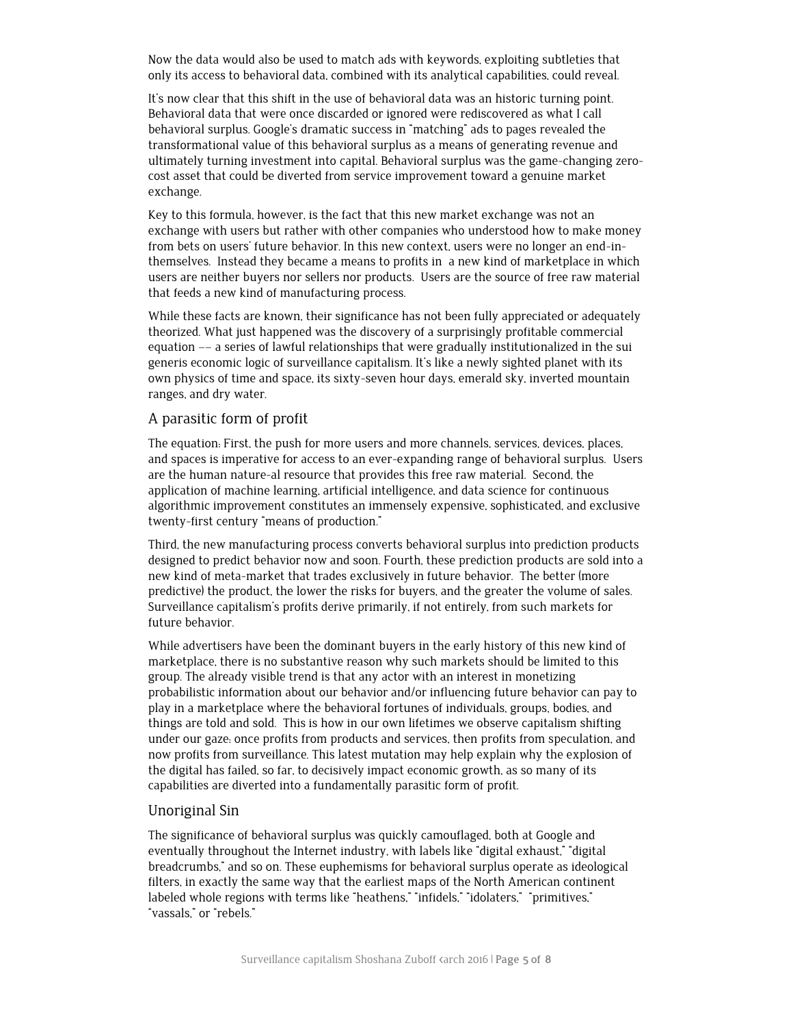Now the data would also be used to match ads with keywords, exploiting subtleties that only its access to behavioral data, combined with its analytical capabilities, could reveal.

It's now clear that this shift in the use of behavioral data was an historic turning point. Behavioral data that were once discarded or ignored were rediscovered as what I call behavioral surplus. Google's dramatic success in "matching" ads to pages revealed the transformational value of this behavioral surplus as a means of generating revenue and ultimately turning investment into capital. Behavioral surplus was the game-changing zerocost asset that could be diverted from service improvement toward a genuine market exchange.

Key to this formula, however, is the fact that this new market exchange was not an exchange with users but rather with other companies who understood how to make money from bets on users' future behavior. In this new context, users were no longer an end-inthemselves. Instead they became a means to profits in a new kind of marketplace in which users are neither buyers nor sellers nor products. Users are the source of free raw material that feeds a new kind of manufacturing process.

While these facts are known, their significance has not been fully appreciated or adequately theorized. What just happened was the discovery of a surprisingly profitable commercial equation –– a series of lawful relationships that were gradually institutionalized in the sui generis economic logic of surveillance capitalism. It's like a newly sighted planet with its own physics of time and space, its sixty-seven hour days, emerald sky, inverted mountain ranges, and dry water.

#### A parasitic form of profit

The equation: First, the push for more users and more channels, services, devices, places, and spaces is imperative for access to an ever-expanding range of behavioral surplus. Users are the human nature-al resource that provides this free raw material. Second, the application of machine learning, artificial intelligence, and data science for continuous algorithmic improvement constitutes an immensely expensive, sophisticated, and exclusive twenty-first century "means of production."

Third, the new manufacturing process converts behavioral surplus into prediction products designed to predict behavior now and soon. Fourth, these prediction products are sold into a new kind of meta-market that trades exclusively in future behavior. The better (more predictive) the product, the lower the risks for buyers, and the greater the volume of sales. Surveillance capitalism's profits derive primarily, if not entirely, from such markets for future behavior.

While advertisers have been the dominant buyers in the early history of this new kind of marketplace, there is no substantive reason why such markets should be limited to this group. The already visible trend is that any actor with an interest in monetizing probabilistic information about our behavior and/or influencing future behavior can pay to play in a marketplace where the behavioral fortunes of individuals, groups, bodies, and things are told and sold. This is how in our own lifetimes we observe capitalism shifting under our gaze: once profits from products and services, then profits from speculation, and now profits from surveillance. This latest mutation may help explain why the explosion of the digital has failed, so far, to decisively impact economic growth, as so many of its capabilities are diverted into a fundamentally parasitic form of profit.

## Unoriginal Sin

The significance of behavioral surplus was quickly camouflaged, both at Google and eventually throughout the Internet industry, with labels like "digital exhaust," "digital breadcrumbs," and so on. These euphemisms for behavioral surplus operate as ideological filters, in exactly the same way that the earliest maps of the North American continent labeled whole regions with terms like "heathens," "infidels," "idolaters," "primitives," "vassals," or "rebels."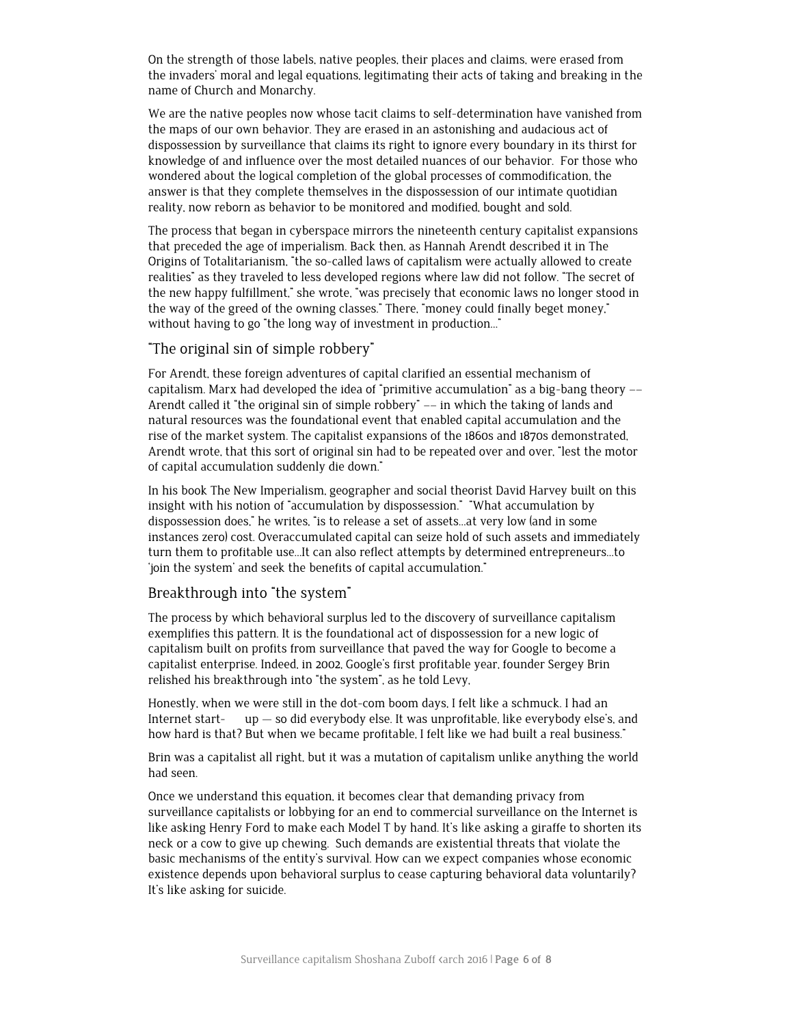On the strength of those labels, native peoples, their places and claims, were erased from the invaders' moral and legal equations, legitimating their acts of taking and breaking in the name of Church and Monarchy.

We are the native peoples now whose tacit claims to self-determination have vanished from the maps of our own behavior. They are erased in an astonishing and audacious act of dispossession by surveillance that claims its right to ignore every boundary in its thirst for knowledge of and influence over the most detailed nuances of our behavior. For those who wondered about the logical completion of the global processes of commodification, the answer is that they complete themselves in the dispossession of our intimate quotidian reality, now reborn as behavior to be monitored and modified, bought and sold.

The process that began in cyberspace mirrors the nineteenth century capitalist expansions that preceded the age of imperialism. Back then, as Hannah Arendt described it in The Origins of Totalitarianism, "the so-called laws of capitalism were actually allowed to create realities" as they traveled to less developed regions where law did not follow. "The secret of the new happy fulfillment," she wrote, "was precisely that economic laws no longer stood in the way of the greed of the owning classes." There, "money could finally beget money," without having to go "the long way of investment in production..."

#### "The original sin of simple robbery"

For Arendt, these foreign adventures of capital clarified an essential mechanism of capitalism. Marx had developed the idea of "primitive accumulation" as a big-bang theory –– Arendt called it "the original sin of simple robbery" –– in which the taking of lands and natural resources was the foundational event that enabled capital accumulation and the rise of the market system. The capitalist expansions of the 1860s and 1870s demonstrated, Arendt wrote, that this sort of original sin had to be repeated over and over, "lest the motor of capital accumulation suddenly die down."

In his book The New Imperialism, geographer and social theorist David Harvey built on this insight with his notion of "accumulation by dispossession." "What accumulation by dispossession does," he writes, "is to release a set of assets…at very low (and in some instances zero) cost. Overaccumulated capital can seize hold of such assets and immediately turn them to profitable use…It can also reflect attempts by determined entrepreneurs…to 'join the system' and seek the benefits of capital accumulation."

## Breakthrough into "the system"

The process by which behavioral surplus led to the discovery of surveillance capitalism exemplifies this pattern. It is the foundational act of dispossession for a new logic of capitalism built on profits from surveillance that paved the way for Google to become a capitalist enterprise. Indeed, in 2002, Google's first profitable year, founder Sergey Brin relished his breakthrough into "the system", as he told Levy,

Honestly, when we were still in the dot-com boom days, I felt like a schmuck. I had an Internet start- up — so did everybody else. It was unprofitable, like everybody else's, and how hard is that? But when we became profitable, I felt like we had built a real business."

Brin was a capitalist all right, but it was a mutation of capitalism unlike anything the world had seen.

Once we understand this equation, it becomes clear that demanding privacy from surveillance capitalists or lobbying for an end to commercial surveillance on the Internet is like asking Henry Ford to make each Model T by hand. It's like asking a giraffe to shorten its neck or a cow to give up chewing. Such demands are existential threats that violate the basic mechanisms of the entity's survival. How can we expect companies whose economic existence depends upon behavioral surplus to cease capturing behavioral data voluntarily? It's like asking for suicide.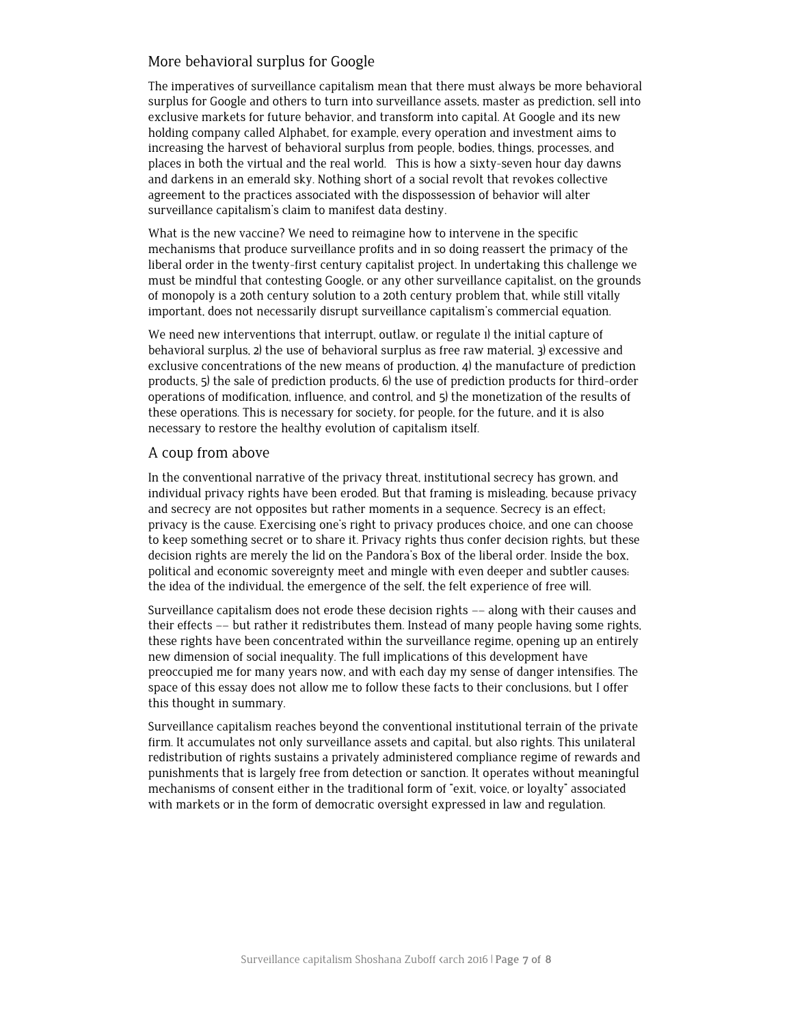# More behavioral surplus for Google

The imperatives of surveillance capitalism mean that there must always be more behavioral surplus for Google and others to turn into surveillance assets, master as prediction, sell into exclusive markets for future behavior, and transform into capital. At Google and its new holding company called Alphabet, for example, every operation and investment aims to increasing the harvest of behavioral surplus from people, bodies, things, processes, and places in both the virtual and the real world. This is how a sixty-seven hour day dawns and darkens in an emerald sky. Nothing short of a social revolt that revokes collective agreement to the practices associated with the dispossession of behavior will alter surveillance capitalism's claim to manifest data destiny.

What is the new vaccine? We need to reimagine how to intervene in the specific mechanisms that produce surveillance profits and in so doing reassert the primacy of the liberal order in the twenty-first century capitalist project. In undertaking this challenge we must be mindful that contesting Google, or any other surveillance capitalist, on the grounds of monopoly is a 20th century solution to a 20th century problem that, while still vitally important, does not necessarily disrupt surveillance capitalism's commercial equation.

We need new interventions that interrupt, outlaw, or regulate 1) the initial capture of behavioral surplus, 2) the use of behavioral surplus as free raw material, 3) excessive and exclusive concentrations of the new means of production, 4) the manufacture of prediction products, 5) the sale of prediction products, 6) the use of prediction products for third-order operations of modification, influence, and control, and 5) the monetization of the results of these operations. This is necessary for society, for people, for the future, and it is also necessary to restore the healthy evolution of capitalism itself.

## A coup from above

In the conventional narrative of the privacy threat, institutional secrecy has grown, and individual privacy rights have been eroded. But that framing is misleading, because privacy and secrecy are not opposites but rather moments in a sequence. Secrecy is an effect; privacy is the cause. Exercising one's right to privacy produces choice, and one can choose to keep something secret or to share it. Privacy rights thus confer decision rights, but these decision rights are merely the lid on the Pandora's Box of the liberal order. Inside the box, political and economic sovereignty meet and mingle with even deeper and subtler causes: the idea of the individual, the emergence of the self, the felt experience of free will.

Surveillance capitalism does not erode these decision rights –– along with their causes and their effects –– but rather it redistributes them. Instead of many people having some rights, these rights have been concentrated within the surveillance regime, opening up an entirely new dimension of social inequality. The full implications of this development have preoccupied me for many years now, and with each day my sense of danger intensifies. The space of this essay does not allow me to follow these facts to their conclusions, but I offer this thought in summary.

Surveillance capitalism reaches beyond the conventional institutional terrain of the private firm. It accumulates not only surveillance assets and capital, but also rights. This unilateral redistribution of rights sustains a privately administered compliance regime of rewards and punishments that is largely free from detection or sanction. It operates without meaningful mechanisms of consent either in the traditional form of "exit, voice, or loyalty" associated with markets or in the form of democratic oversight expressed in law and regulation.